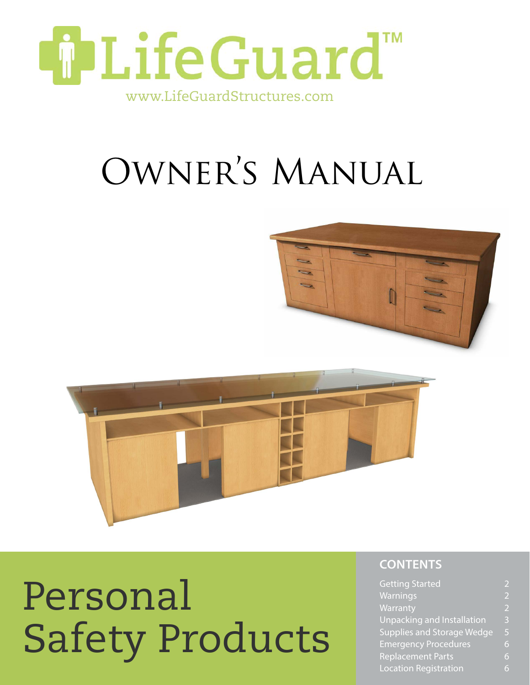

## Owner's Manual





# Personal Safety Products

### **contents**

| <b>Getting Started</b>            |                          |
|-----------------------------------|--------------------------|
| Warnings                          | $\overline{\phantom{a}}$ |
| Warranty                          | $\overline{2}$           |
| <b>Unpacking and Installation</b> | 3                        |
| <b>Supplies and Storage Wedge</b> | 5                        |
| <b>Emergency Procedures</b>       | 6                        |
| Replacement Parts                 | 6                        |
| <b>Location Registration</b>      |                          |
|                                   |                          |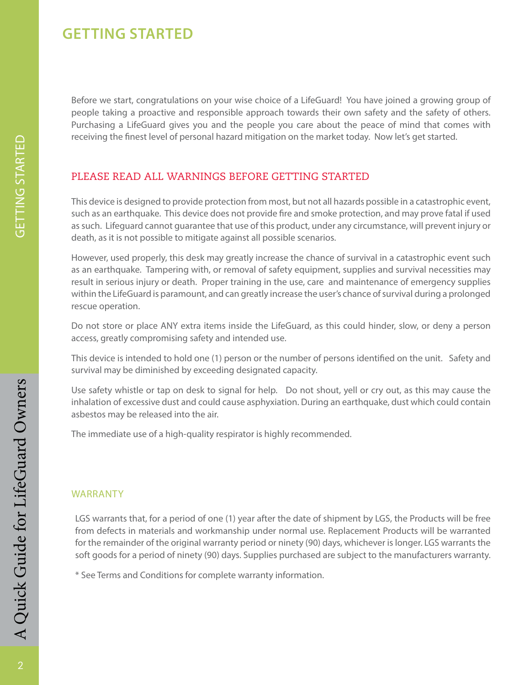## **getting started**

Before we start, congratulations on your wise choice of a LifeGuard! You have joined a growing group of people taking a proactive and responsible approach towards their own safety and the safety of others. Purchasing a LifeGuard gives you and the people you care about the peace of mind that comes with receiving the finest level of personal hazard mitigation on the market today. Now let's get started.

#### PLEASE READ ALL WarningS BEFORE GETTING STARTED

This device is designed to provide protection from most, but not all hazards possible in a catastrophic event, such as an earthquake. This device does not provide fire and smoke protection, and may prove fatal if used as such. Lifeguard cannot guarantee that use of this product, under any circumstance, will prevent injury or death, as it is not possible to mitigate against all possible scenarios.

However, used properly, this desk may greatly increase the chance of survival in a catastrophic event such as an earthquake. Tampering with, or removal of safety equipment, supplies and survival necessities may result in serious injury or death. Proper training in the use, care and maintenance of emergency supplies within the LifeGuard is paramount, and can greatly increase the user's chance of survival during a prolonged rescue operation.

Do not store or place ANY extra items inside the LifeGuard, as this could hinder, slow, or deny a person access, greatly compromising safety and intended use.

This device is intended to hold one (1) person or the number of persons identified on the unit. Safety and survival may be diminished by exceeding designated capacity.

Use safety whistle or tap on desk to signal for help. Do not shout, yell or cry out, as this may cause the inhalation of excessive dust and could cause asphyxiation. During an earthquake, dust which could contain asbestos may be released into the air.

The immediate use of a high-quality respirator is highly recommended.

#### **WARRANTY**

LGS warrants that, for a period of one (1) year after the date of shipment by LGS, the Products will be free from defects in materials and workmanship under normal use. Replacement Products will be warranted for the remainder of the original warranty period or ninety (90) days, whichever is longer. LGS warrants the soft goods for a period of ninety (90) days. Supplies purchased are subject to the manufacturers warranty.

\* See Terms and Conditions for complete warranty information.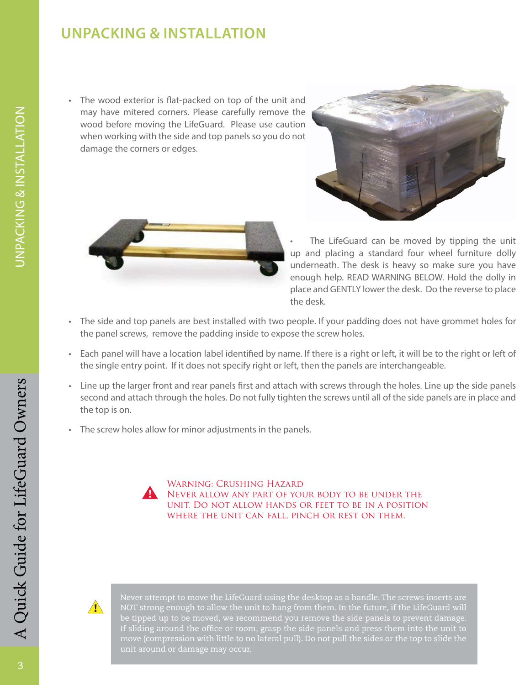## **unpacking & installation**

The wood exterior is flat-packed on top of the unit and may have mitered corners. Please carefully remove the wood before moving the LifeGuard. Please use caution when working with the side and top panels so you do not damage the corners or edges.





The LifeGuard can be moved by tipping the unit up and placing a standard four wheel furniture dolly underneath. The desk is heavy so make sure you have enough help. READ WARNING BELOW. Hold the dolly in place and GENTLY lower the desk. Do the reverse to place the desk.

- • The side and top panels are best installed with two people. If your padding does not have grommet holes for the panel screws, remove the padding inside to expose the screw holes.
- • Each panel will have a location label identified by name. If there is a right or left, it will be to the right or left of the single entry point. If it does not specify right or left, then the panels are interchangeable.
- • Line up the larger front and rear panels first and attach with screws through the holes. Line up the side panels second and attach through the holes. Do not fully tighten the screws until all of the side panels are in place and the top is on.
- The screw holes allow for minor adjustments in the panels.



Warning: Crushing Hazard Never allow any part of your body to be under the unit. Do not allow hands or feet to be in a position WHERE THE UNIT CAN FALL, PINCH OR REST ON THEM.



Never attempt to move the LifeGuard using the desktop as a handle. The screws inserts are NOT strong enough to allow the unit to hang from them. In the future, if the LifeGuard will be tipped up to be moved, we recommend you remove the side panels to prevent damage. If sliding around the office or room, grasp the side panels and press them into the unit to unit around or damage may occur.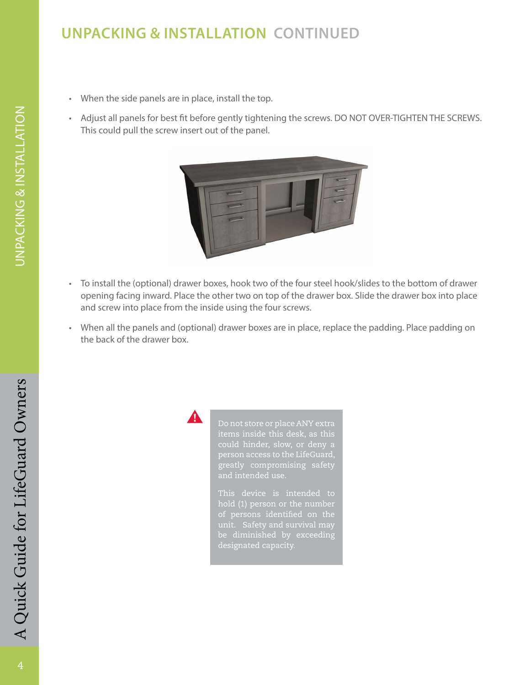## **unpacking & installation Continued**

- When the side panels are in place, install the top.
- • Adjust all panels for best fit before gently tightening the screws. DO NOT OVER-TIGHTEN THE SCREWS. This could pull the screw insert out of the panel.



- • To install the (optional) drawer boxes, hook two of the four steel hook/slides to the bottom of drawer opening facing inward. Place the other two on top of the drawer box. Slide the drawer box into place and screw into place from the inside using the four screws.
- When all the panels and (optional) drawer boxes are in place, replace the padding. Place padding on the back of the drawer box.



greatly compromising safety

designated capacity.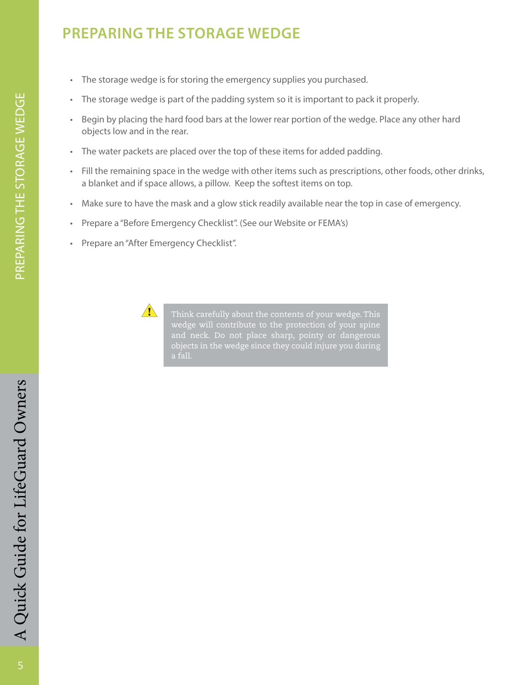## **preparing the storage wedge**

- The storage wedge is for storing the emergency supplies you purchased.
- The storage wedge is part of the padding system so it is important to pack it properly.
- Begin by placing the hard food bars at the lower rear portion of the wedge. Place any other hard objects low and in the rear.
- The water packets are placed over the top of these items for added padding.
- • Fill the remaining space in the wedge with other items such as prescriptions, other foods, other drinks, a blanket and if space allows, a pillow. Keep the softest items on top.
- • Make sure to have the mask and a glow stick readily available near the top in case of emergency.
- Prepare a "Before Emergency Checklist". (See our Website or FEMA's)
- Prepare an "After Emergency Checklist".



Think carefully about the contents of your wedge. This wedge will contribute to the protection of your spine and neck. Do not place sharp, pointy or dangerous objects in the wedge since they could injure you during